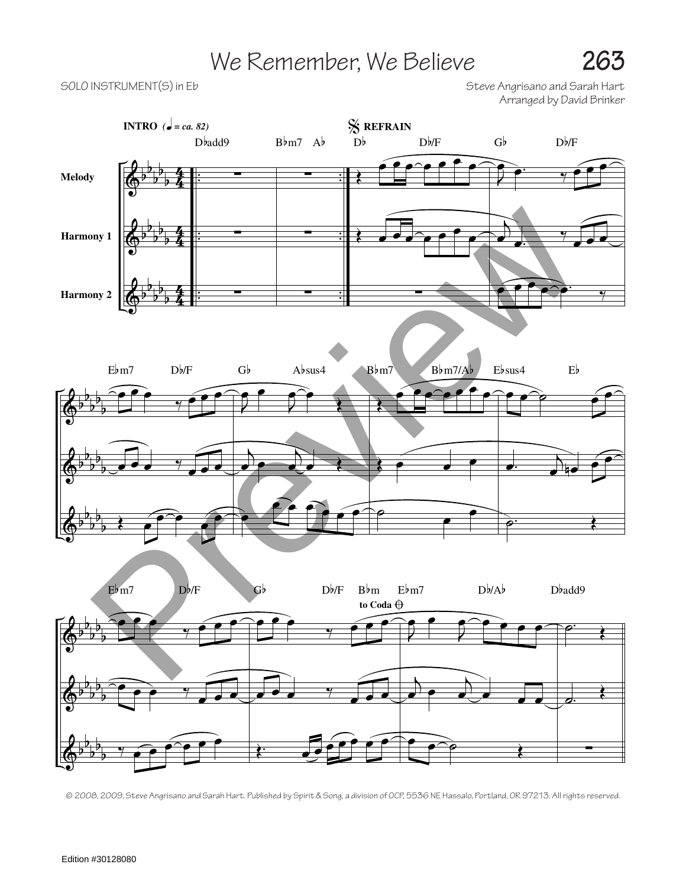## We Remember, We Believe **263**

SOLO INSTRUMENT(S) in Eb Solo Instrument Control in Eq. 3 (Steve Angrisano and Sarah Hart Arranged by David Brinker



<sup>© 2008, 2009,</sup> Steve Angrisano and Sarah Hart. Published by Spirit & Song, a division of OCP, 5536 NE Hassalo, Portland, OR 97213. All rights reserved.